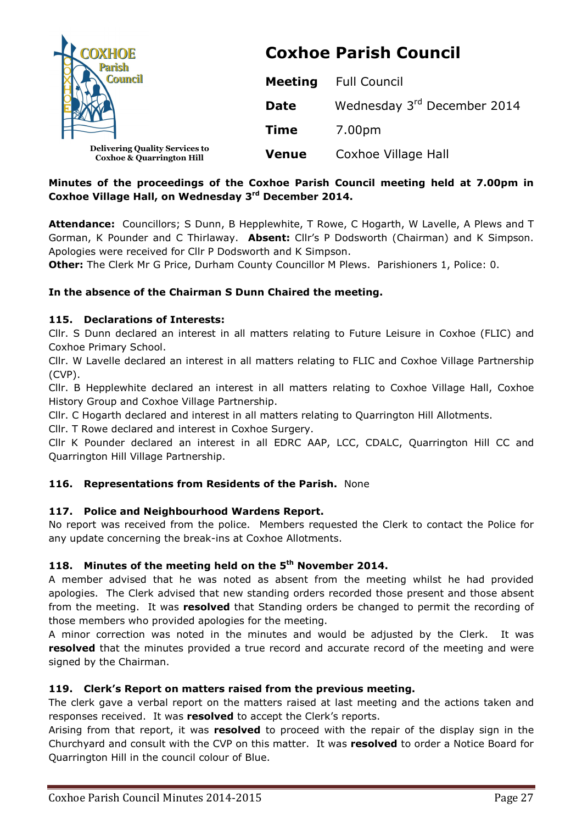| <b>COXHOE</b><br><b>Parish</b><br><b>Council</b>                              | <b>Coxhoe Parish Council</b> |                             |  |
|-------------------------------------------------------------------------------|------------------------------|-----------------------------|--|
|                                                                               | <b>Meeting</b>               | <b>Full Council</b>         |  |
|                                                                               | <b>Date</b>                  | Wednesday 3rd December 2014 |  |
|                                                                               | <b>Time</b>                  | 7.00pm                      |  |
| <b>Delivering Quality Services to</b><br><b>Coxhoe &amp; Quarrington Hill</b> | <b>Venue</b>                 | Coxhoe Village Hall         |  |

# **Minutes of the proceedings of the Coxhoe Parish Council meeting held at 7.00pm in Coxhoe Village Hall, on Wednesday 3rd December 2014.**

**Attendance:** Councillors; S Dunn, B Hepplewhite, T Rowe, C Hogarth, W Lavelle, A Plews and T Gorman, K Pounder and C Thirlaway. **Absent:** Cllr's P Dodsworth (Chairman) and K Simpson. Apologies were received for Cllr P Dodsworth and K Simpson.

**Other:** The Clerk Mr G Price, Durham County Councillor M Plews. Parishioners 1, Police: 0.

## **In the absence of the Chairman S Dunn Chaired the meeting.**

### **115. Declarations of Interests:**

Cllr. S Dunn declared an interest in all matters relating to Future Leisure in Coxhoe (FLIC) and Coxhoe Primary School.

Cllr. W Lavelle declared an interest in all matters relating to FLIC and Coxhoe Village Partnership (CVP).

Cllr. B Hepplewhite declared an interest in all matters relating to Coxhoe Village Hall, Coxhoe History Group and Coxhoe Village Partnership.

Cllr. C Hogarth declared and interest in all matters relating to Quarrington Hill Allotments.

Cllr. T Rowe declared and interest in Coxhoe Surgery.

Cllr K Pounder declared an interest in all EDRC AAP, LCC, CDALC, Quarrington Hill CC and Quarrington Hill Village Partnership.

# **116. Representations from Residents of the Parish.** None

### **117. Police and Neighbourhood Wardens Report.**

No report was received from the police. Members requested the Clerk to contact the Police for any update concerning the break-ins at Coxhoe Allotments.

# **118. Minutes of the meeting held on the 5th November 2014.**

A member advised that he was noted as absent from the meeting whilst he had provided apologies. The Clerk advised that new standing orders recorded those present and those absent from the meeting. It was **resolved** that Standing orders be changed to permit the recording of those members who provided apologies for the meeting.

A minor correction was noted in the minutes and would be adjusted by the Clerk. It was **resolved** that the minutes provided a true record and accurate record of the meeting and were signed by the Chairman.

### **119. Clerk's Report on matters raised from the previous meeting.**

The clerk gave a verbal report on the matters raised at last meeting and the actions taken and responses received. It was **resolved** to accept the Clerk's reports.

Arising from that report, it was **resolved** to proceed with the repair of the display sign in the Churchyard and consult with the CVP on this matter. It was **resolved** to order a Notice Board for Quarrington Hill in the council colour of Blue.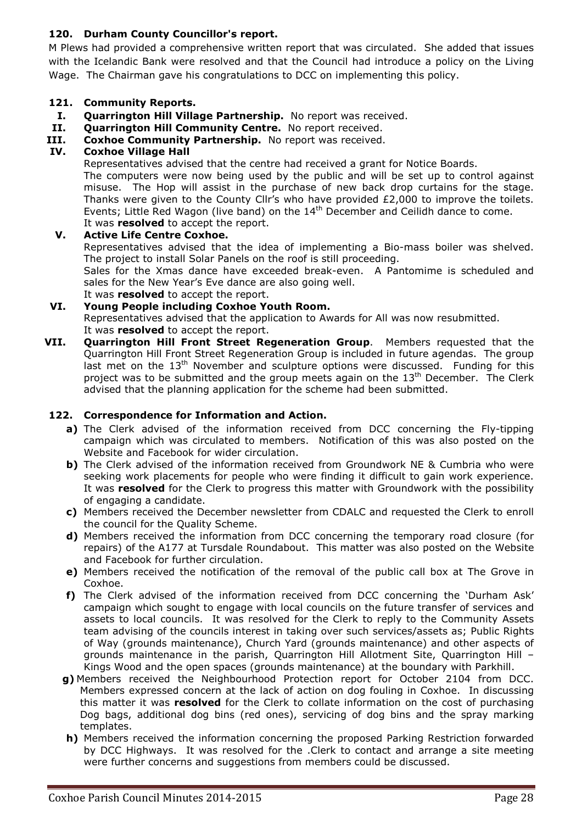# **120. Durham County Councillor's report.**

M Plews had provided a comprehensive written report that was circulated. She added that issues with the Icelandic Bank were resolved and that the Council had introduce a policy on the Living Wage. The Chairman gave his congratulations to DCC on implementing this policy.

### **121. Community Reports.**

- **I. Quarrington Hill Village Partnership.** No report was received.
- **II. Quarrington Hill Community Centre.** No report received.
- **III. Coxhoe Community Partnership.** No report was received.

### **IV. Coxhoe Village Hall**

Representatives advised that the centre had received a grant for Notice Boards.

The computers were now being used by the public and will be set up to control against misuse. The Hop will assist in the purchase of new back drop curtains for the stage. Thanks were given to the County Cllr's who have provided £2,000 to improve the toilets. Events; Little Red Wagon (live band) on the 14<sup>th</sup> December and Ceilidh dance to come. It was **resolved** to accept the report.

#### **V. Active Life Centre Coxhoe.**

Representatives advised that the idea of implementing a Bio-mass boiler was shelved. The project to install Solar Panels on the roof is still proceeding.

Sales for the Xmas dance have exceeded break-even. A Pantomime is scheduled and sales for the New Year's Eve dance are also going well.

It was **resolved** to accept the report.

# **VI. Young People including Coxhoe Youth Room.**

Representatives advised that the application to Awards for All was now resubmitted. It was **resolved** to accept the report.

**VII. Quarrington Hill Front Street Regeneration Group**. Members requested that the Quarrington Hill Front Street Regeneration Group is included in future agendas. The group last met on the 13<sup>th</sup> November and sculpture options were discussed. Funding for this project was to be submitted and the group meets again on the  $13<sup>th</sup>$  December. The Clerk advised that the planning application for the scheme had been submitted.

### **122. Correspondence for Information and Action.**

- **a)** The Clerk advised of the information received from DCC concerning the Fly-tipping campaign which was circulated to members. Notification of this was also posted on the Website and Facebook for wider circulation.
- **b)** The Clerk advised of the information received from Groundwork NE & Cumbria who were seeking work placements for people who were finding it difficult to gain work experience. It was **resolved** for the Clerk to progress this matter with Groundwork with the possibility of engaging a candidate.
- **c)** Members received the December newsletter from CDALC and requested the Clerk to enroll the council for the Quality Scheme.
- **d)** Members received the information from DCC concerning the temporary road closure (for repairs) of the A177 at Tursdale Roundabout. This matter was also posted on the Website and Facebook for further circulation.
- **e)** Members received the notification of the removal of the public call box at The Grove in Coxhoe.
- **f)** The Clerk advised of the information received from DCC concerning the 'Durham Ask' campaign which sought to engage with local councils on the future transfer of services and assets to local councils. It was resolved for the Clerk to reply to the Community Assets team advising of the councils interest in taking over such services/assets as; Public Rights of Way (grounds maintenance), Church Yard (grounds maintenance) and other aspects of grounds maintenance in the parish, Quarrington Hill Allotment Site, Quarrington Hill – Kings Wood and the open spaces (grounds maintenance) at the boundary with Parkhill.
- **g)** Members received the Neighbourhood Protection report for October 2104 from DCC. Members expressed concern at the lack of action on dog fouling in Coxhoe. In discussing this matter it was **resolved** for the Clerk to collate information on the cost of purchasing Dog bags, additional dog bins (red ones), servicing of dog bins and the spray marking templates.
- **h)** Members received the information concerning the proposed Parking Restriction forwarded by DCC Highways. It was resolved for the .Clerk to contact and arrange a site meeting were further concerns and suggestions from members could be discussed.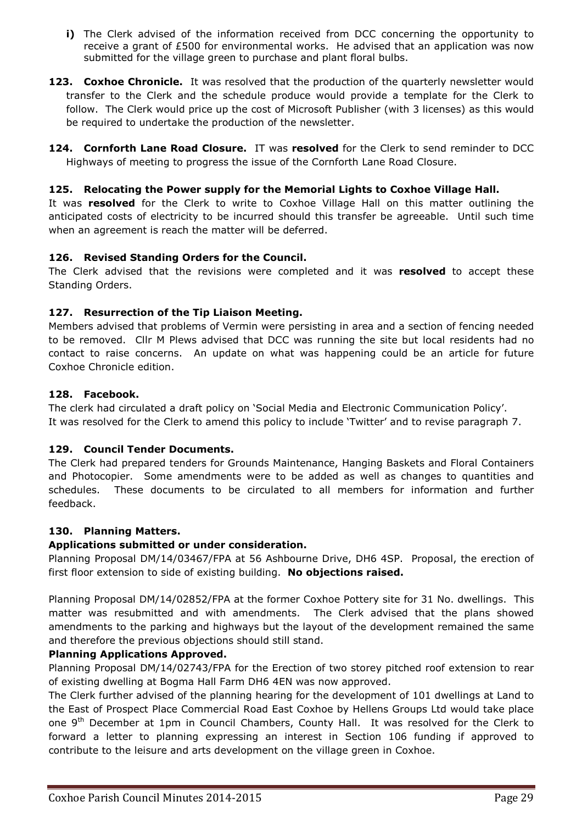- **i)** The Clerk advised of the information received from DCC concerning the opportunity to receive a grant of £500 for environmental works. He advised that an application was now submitted for the village green to purchase and plant floral bulbs.
- **123. Coxhoe Chronicle.** It was resolved that the production of the quarterly newsletter would transfer to the Clerk and the schedule produce would provide a template for the Clerk to follow. The Clerk would price up the cost of Microsoft Publisher (with 3 licenses) as this would be required to undertake the production of the newsletter.
- **124. Cornforth Lane Road Closure.** IT was **resolved** for the Clerk to send reminder to DCC Highways of meeting to progress the issue of the Cornforth Lane Road Closure.

## **125. Relocating the Power supply for the Memorial Lights to Coxhoe Village Hall.**

It was **resolved** for the Clerk to write to Coxhoe Village Hall on this matter outlining the anticipated costs of electricity to be incurred should this transfer be agreeable. Until such time when an agreement is reach the matter will be deferred.

## **126. Revised Standing Orders for the Council.**

The Clerk advised that the revisions were completed and it was **resolved** to accept these Standing Orders.

## **127. Resurrection of the Tip Liaison Meeting.**

Members advised that problems of Vermin were persisting in area and a section of fencing needed to be removed. Cllr M Plews advised that DCC was running the site but local residents had no contact to raise concerns. An update on what was happening could be an article for future Coxhoe Chronicle edition.

### **128. Facebook.**

The clerk had circulated a draft policy on 'Social Media and Electronic Communication Policy'. It was resolved for the Clerk to amend this policy to include 'Twitter' and to revise paragraph 7.

### **129. Council Tender Documents.**

The Clerk had prepared tenders for Grounds Maintenance, Hanging Baskets and Floral Containers and Photocopier. Some amendments were to be added as well as changes to quantities and schedules. These documents to be circulated to all members for information and further feedback.

# **130. Planning Matters.**

### **Applications submitted or under consideration.**

Planning Proposal DM/14/03467/FPA at 56 Ashbourne Drive, DH6 4SP. Proposal, the erection of first floor extension to side of existing building. **No objections raised.** 

Planning Proposal DM/14/02852/FPA at the former Coxhoe Pottery site for 31 No. dwellings. This matter was resubmitted and with amendments. The Clerk advised that the plans showed amendments to the parking and highways but the layout of the development remained the same and therefore the previous objections should still stand.

### **Planning Applications Approved.**

Planning Proposal DM/14/02743/FPA for the Erection of two storey pitched roof extension to rear of existing dwelling at Bogma Hall Farm DH6 4EN was now approved.

The Clerk further advised of the planning hearing for the development of 101 dwellings at Land to the East of Prospect Place Commercial Road East Coxhoe by Hellens Groups Ltd would take place one 9<sup>th</sup> December at 1pm in Council Chambers, County Hall. It was resolved for the Clerk to forward a letter to planning expressing an interest in Section 106 funding if approved to contribute to the leisure and arts development on the village green in Coxhoe.